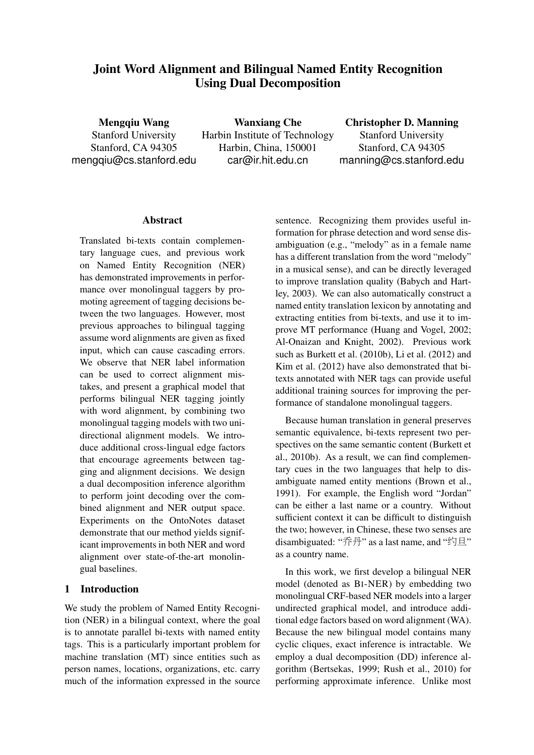# Joint Word Alignment and Bilingual Named Entity Recognition Using Dual Decomposition

Mengqiu Wang Stanford University Stanford, CA 94305 mengqiu@cs.stanford.edu

Wanxiang Che Harbin Institute of Technology Harbin, China, 150001 car@ir.hit.edu.cn

Christopher D. Manning Stanford University Stanford, CA 94305 manning@cs.stanford.edu

## Abstract

Translated bi-texts contain complementary language cues, and previous work on Named Entity Recognition (NER) has demonstrated improvements in performance over monolingual taggers by promoting agreement of tagging decisions between the two languages. However, most previous approaches to bilingual tagging assume word alignments are given as fixed input, which can cause cascading errors. We observe that NER label information can be used to correct alignment mistakes, and present a graphical model that performs bilingual NER tagging jointly with word alignment, by combining two monolingual tagging models with two unidirectional alignment models. We introduce additional cross-lingual edge factors that encourage agreements between tagging and alignment decisions. We design a dual decomposition inference algorithm to perform joint decoding over the combined alignment and NER output space. Experiments on the OntoNotes dataset demonstrate that our method yields significant improvements in both NER and word alignment over state-of-the-art monolingual baselines.

# 1 Introduction

We study the problem of Named Entity Recognition (NER) in a bilingual context, where the goal is to annotate parallel bi-texts with named entity tags. This is a particularly important problem for machine translation (MT) since entities such as person names, locations, organizations, etc. carry much of the information expressed in the source sentence. Recognizing them provides useful information for phrase detection and word sense disambiguation (e.g., "melody" as in a female name has a different translation from the word "melody" in a musical sense), and can be directly leveraged to improve translation quality (Babych and Hartley, 2003). We can also automatically construct a named entity translation lexicon by annotating and extracting entities from bi-texts, and use it to improve MT performance (Huang and Vogel, 2002; Al-Onaizan and Knight, 2002). Previous work such as Burkett et al. (2010b), Li et al. (2012) and Kim et al. (2012) have also demonstrated that bitexts annotated with NER tags can provide useful additional training sources for improving the performance of standalone monolingual taggers.

Because human translation in general preserves semantic equivalence, bi-texts represent two perspectives on the same semantic content (Burkett et al., 2010b). As a result, we can find complementary cues in the two languages that help to disambiguate named entity mentions (Brown et al., 1991). For example, the English word "Jordan" can be either a last name or a country. Without sufficient context it can be difficult to distinguish the two; however, in Chinese, these two senses are disambiguated: "乔丹" as a last name, and "约旦" as a country name.

In this work, we first develop a bilingual NER model (denoted as BI-NER) by embedding two monolingual CRF-based NER models into a larger undirected graphical model, and introduce additional edge factors based on word alignment (WA). Because the new bilingual model contains many cyclic cliques, exact inference is intractable. We employ a dual decomposition (DD) inference algorithm (Bertsekas, 1999; Rush et al., 2010) for performing approximate inference. Unlike most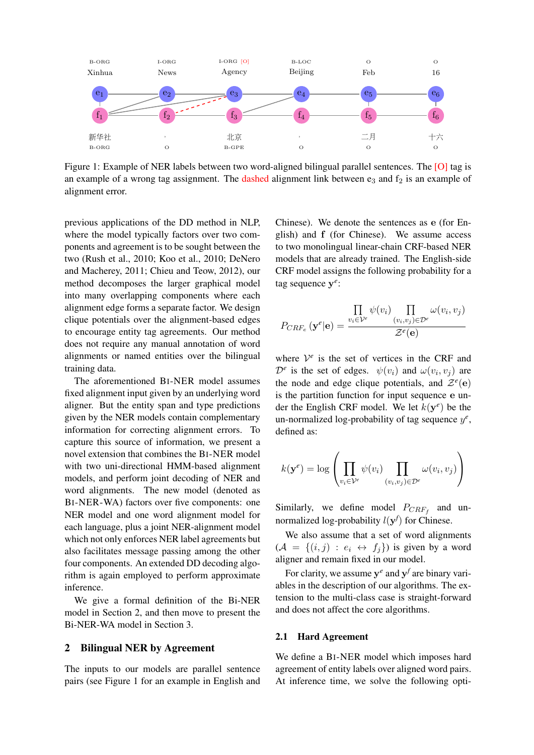

Figure 1: Example of NER labels between two word-aligned bilingual parallel sentences. The [O] tag is an example of a wrong tag assignment. The dashed alignment link between  $e_3$  and  $f_2$  is an example of alignment error.

previous applications of the DD method in NLP, where the model typically factors over two components and agreement is to be sought between the two (Rush et al., 2010; Koo et al., 2010; DeNero and Macherey, 2011; Chieu and Teow, 2012), our method decomposes the larger graphical model into many overlapping components where each alignment edge forms a separate factor. We design clique potentials over the alignment-based edges to encourage entity tag agreements. Our method does not require any manual annotation of word alignments or named entities over the bilingual training data.

The aforementioned BI-NER model assumes fixed alignment input given by an underlying word aligner. But the entity span and type predictions given by the NER models contain complementary information for correcting alignment errors. To capture this source of information, we present a novel extension that combines the BI-NER model with two uni-directional HMM-based alignment models, and perform joint decoding of NER and word alignments. The new model (denoted as BI-NER-WA) factors over five components: one NER model and one word alignment model for each language, plus a joint NER-alignment model which not only enforces NER label agreements but also facilitates message passing among the other four components. An extended DD decoding algorithm is again employed to perform approximate inference.

We give a formal definition of the Bi-NER model in Section 2, and then move to present the Bi-NER-WA model in Section 3.

#### 2 Bilingual NER by Agreement

The inputs to our models are parallel sentence pairs (see Figure 1 for an example in English and

Chinese). We denote the sentences as e (for English) and f (for Chinese). We assume access to two monolingual linear-chain CRF-based NER models that are already trained. The English-side CRF model assigns the following probability for a tag sequence y *e* :

$$
P_{CRF_e}(\mathbf{y}^e|\mathbf{e}) = \frac{\prod_{v_i \in \mathcal{V}^e} \psi(v_i) \prod_{(v_i, v_j) \in \mathcal{D}^e} \omega(v_i, v_j)}{\mathcal{Z}^e(\mathbf{e})}
$$

where  $V^e$  is the set of vertices in the CRF and  $\mathcal{D}^e$  is the set of edges.  $\psi(v_i)$  and  $\omega(v_i, v_j)$  are the node and edge clique potentials, and  $\mathcal{Z}^e(\mathbf{e})$ is the partition function for input sequence e under the English CRF model. We let  $k(\mathbf{y}^e)$  be the un-normalized log-probability of tag sequence  $y^e$ , defined as:

$$
k(\mathbf{y}^e) = \log \left( \prod_{v_i \in \mathcal{V}^e} \psi(v_i) \prod_{(v_i, v_j) \in \mathcal{D}^e} \omega(v_i, v_j) \right)
$$

Similarly, we define model  $P_{CRF_f}$  and unnormalized log-probability  $l(\mathbf{y}^f)$  for Chinese.

We also assume that a set of word alignments  $(A = \{(i, j) : e_i \leftrightarrow f_j\})$  is given by a word aligner and remain fixed in our model.

For clarity, we assume  $y^e$  and  $y^f$  are binary variables in the description of our algorithms. The extension to the multi-class case is straight-forward and does not affect the core algorithms.

#### 2.1 Hard Agreement

We define a BI-NER model which imposes hard agreement of entity labels over aligned word pairs. At inference time, we solve the following opti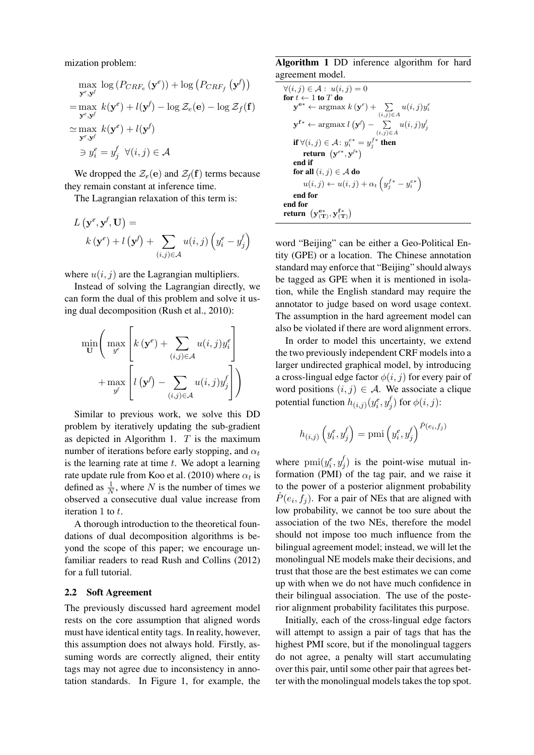mization problem:

$$
\max_{\mathbf{y}^e, \mathbf{y}^f} \log (P_{CRF_e}(\mathbf{y}^e)) + \log (P_{CRF_f}(\mathbf{y}^f))
$$
  
= 
$$
\max_{\mathbf{y}^e, \mathbf{y}^f} k(\mathbf{y}^e) + l(\mathbf{y}^f) - \log \mathcal{Z}_e(\mathbf{e}) - \log \mathcal{Z}_f(\mathbf{f})
$$
  

$$
\approx \max_{\mathbf{y}^e, \mathbf{y}^f} k(\mathbf{y}^e) + l(\mathbf{y}^f)
$$
  

$$
\Rightarrow y_i^e = y_j^f \quad \forall (i, j) \in \mathcal{A}
$$

We dropped the  $\mathcal{Z}_e(\mathbf{e})$  and  $\mathcal{Z}_f(\mathbf{f})$  terms because they remain constant at inference time.

The Lagrangian relaxation of this term is:

$$
L\left(\mathbf{y}^e, \mathbf{y}^f, \mathbf{U}\right) =
$$

$$
k\left(\mathbf{y}^e\right) + l\left(\mathbf{y}^f\right) + \sum_{(i,j) \in \mathcal{A}} u(i,j) \left(y_i^e - y_j^f\right)
$$

where  $u(i, j)$  are the Lagrangian multipliers.

Instead of solving the Lagrangian directly, we can form the dual of this problem and solve it using dual decomposition (Rush et al., 2010):

$$
\min_{\mathbf{U}} \left( \max_{y^e} \left[ k(\mathbf{y}^e) + \sum_{(i,j) \in \mathcal{A}} u(i,j) y_i^e \right] + \max_{y^f} \left[ l(\mathbf{y}^f) - \sum_{(i,j) \in \mathcal{A}} u(i,j) y_j^f \right] \right)
$$

Similar to previous work, we solve this DD problem by iteratively updating the sub-gradient as depicted in Algorithm 1.  $T$  is the maximum number of iterations before early stopping, and  $\alpha_t$ is the learning rate at time  $t$ . We adopt a learning rate update rule from Koo et al. (2010) where  $\alpha_t$  is defined as  $\frac{1}{N}$ , where N is the number of times we observed a consecutive dual value increase from iteration 1 to t.

A thorough introduction to the theoretical foundations of dual decomposition algorithms is beyond the scope of this paper; we encourage unfamiliar readers to read Rush and Collins (2012) for a full tutorial.

## 2.2 Soft Agreement

The previously discussed hard agreement model rests on the core assumption that aligned words must have identical entity tags. In reality, however, this assumption does not always hold. Firstly, assuming words are correctly aligned, their entity tags may not agree due to inconsistency in annotation standards. In Figure 1, for example, the

Algorithm 1 DD inference algorithm for hard agreement model.

$$
\forall (i, j) \in \mathcal{A}: u(i, j) = 0
$$
\n
$$
\text{for } t \leftarrow 1 \text{ to } T \text{ do}
$$
\n
$$
\mathbf{y}^{e*} \leftarrow \operatorname{argmax} k(\mathbf{y}^e) + \sum_{(i, j) \in A} u(i, j) y_i^e
$$
\n
$$
\mathbf{y}^{f*} \leftarrow \operatorname{argmax} l(\mathbf{y}^f) - \sum_{(i, j) \in A} u(i, j) y_j^f
$$
\n
$$
\text{if } \forall (i, j) \in \mathcal{A}: y_i^{e*} = y_j^{f*} \text{ then}
$$
\n
$$
\text{return } (\mathbf{y}^{e*}, \mathbf{y}^{f*})
$$
\n
$$
\text{end if}
$$
\n
$$
\text{for all } (i, j) \in \mathcal{A} \text{ do}
$$
\n
$$
u(i, j) \leftarrow u(i, j) + \alpha_t \left( y_j^{f*} - y_i^{e*} \right)
$$
\n
$$
\text{end for}
$$
\n
$$
\text{end for}
$$
\n
$$
\text{return } (\mathbf{y}_{(\mathbf{T})}^{e*}, \mathbf{y}_{(\mathbf{T})}^{f*})
$$

word "Beijing" can be either a Geo-Political Entity (GPE) or a location. The Chinese annotation standard may enforce that "Beijing" should always be tagged as GPE when it is mentioned in isolation, while the English standard may require the annotator to judge based on word usage context. The assumption in the hard agreement model can also be violated if there are word alignment errors.

In order to model this uncertainty, we extend the two previously independent CRF models into a larger undirected graphical model, by introducing a cross-lingual edge factor  $\phi(i, j)$  for every pair of word positions  $(i, j) \in A$ . We associate a clique potential function  $h_{(i,j)}(y_i^e, y_j^f)$  $y'_j)$  for  $\phi(i,j)$ :

$$
h_{(i,j)}\left(y_i^e, y_j^f\right) = \text{pmi}\left(y_i^e, y_j^f\right)^{\hat{P}(e_i, f_j)}
$$

where  $\text{pmi}(y_i^e, y_j^f)$  $y'_j$ ) is the point-wise mutual information (PMI) of the tag pair, and we raise it to the power of a posterior alignment probability  $\hat{P}(e_i, f_j)$ . For a pair of NEs that are aligned with low probability, we cannot be too sure about the association of the two NEs, therefore the model should not impose too much influence from the bilingual agreement model; instead, we will let the monolingual NE models make their decisions, and trust that those are the best estimates we can come up with when we do not have much confidence in their bilingual association. The use of the posterior alignment probability facilitates this purpose.

Initially, each of the cross-lingual edge factors will attempt to assign a pair of tags that has the highest PMI score, but if the monolingual taggers do not agree, a penalty will start accumulating over this pair, until some other pair that agrees better with the monolingual models takes the top spot.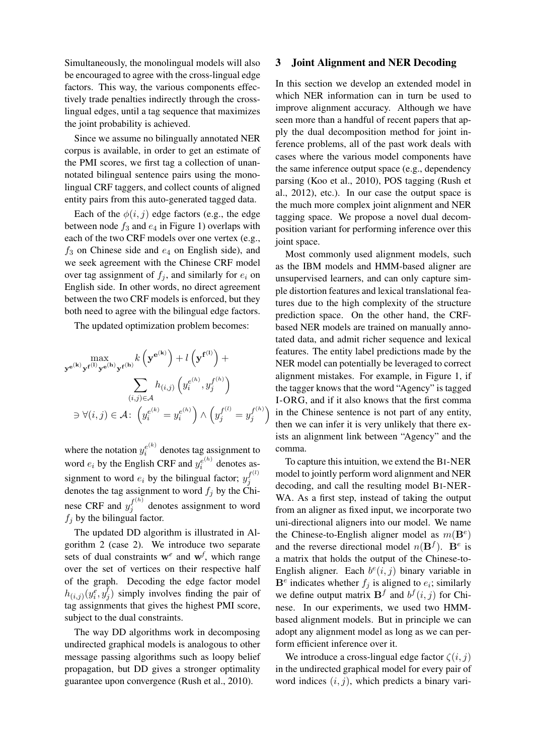Simultaneously, the monolingual models will also be encouraged to agree with the cross-lingual edge factors. This way, the various components effectively trade penalties indirectly through the crosslingual edges, until a tag sequence that maximizes the joint probability is achieved.

Since we assume no bilingually annotated NER corpus is available, in order to get an estimate of the PMI scores, we first tag a collection of unannotated bilingual sentence pairs using the monolingual CRF taggers, and collect counts of aligned entity pairs from this auto-generated tagged data.

Each of the  $\phi(i, j)$  edge factors (e.g., the edge between node  $f_3$  and  $e_4$  in Figure 1) overlaps with each of the two CRF models over one vertex (e.g.,  $f_3$  on Chinese side and  $e_4$  on English side), and we seek agreement with the Chinese CRF model over tag assignment of  $f_j$ , and similarly for  $e_i$  on English side. In other words, no direct agreement between the two CRF models is enforced, but they both need to agree with the bilingual edge factors.

The updated optimization problem becomes:

$$
\max_{\mathbf{y}^{e^{(k)}}\mathbf{y}^{f^{(l)}}\mathbf{y}^{e^{(h)}}\mathbf{y}^{f^{(h)}}} k\left(\mathbf{y}^{e^{(k)}}\right) + l\left(\mathbf{y}^{f^{(l)}}\right) + \sum_{(i,j)\in\mathcal{A}} h_{(i,j)}\left(y_i^{e^{(h)}}, y_j^{f^{(h)}}\right)
$$

$$
\exists \forall (i,j) \in \mathcal{A}: \left(y_i^{e^{(k)}} = y_i^{e^{(h)}}\right) \wedge \left(y_j^{f^{(l)}} = y_j^{f^{(h)}}\right)
$$

where the notation  $y_i^{e^{(k)}}$  $e^{(k)}$  denotes tag assignment to word  $e_i$  by the English CRF and  $y_i^{e^{(h)}}$  $e^{(n)}$  denotes assignment to word  $e_i$  by the bilingual factor;  $y_j^{f^{(l)}}$ j denotes the tag assignment to word  $f_j$  by the Chinese CRF and  $y_j^{f^{(h)}}$  $j_j^{(1)}$  denotes assignment to word  $f_i$  by the bilingual factor.

The updated DD algorithm is illustrated in Algorithm 2 (case 2). We introduce two separate sets of dual constraints w*<sup>e</sup>* and w*<sup>f</sup>* , which range over the set of vertices on their respective half of the graph. Decoding the edge factor model  $h_{(i,j)}(y_i^\epsilon, y_j^\epsilon$  $j_j$ ) simply involves finding the pair of tag assignments that gives the highest PMI score, subject to the dual constraints.

The way DD algorithms work in decomposing undirected graphical models is analogous to other message passing algorithms such as loopy belief propagation, but DD gives a stronger optimality guarantee upon convergence (Rush et al., 2010).

## 3 Joint Alignment and NER Decoding

In this section we develop an extended model in which NER information can in turn be used to improve alignment accuracy. Although we have seen more than a handful of recent papers that apply the dual decomposition method for joint inference problems, all of the past work deals with cases where the various model components have the same inference output space (e.g., dependency parsing (Koo et al., 2010), POS tagging (Rush et al., 2012), etc.). In our case the output space is the much more complex joint alignment and NER tagging space. We propose a novel dual decomposition variant for performing inference over this joint space.

Most commonly used alignment models, such as the IBM models and HMM-based aligner are unsupervised learners, and can only capture simple distortion features and lexical translational features due to the high complexity of the structure prediction space. On the other hand, the CRFbased NER models are trained on manually annotated data, and admit richer sequence and lexical features. The entity label predictions made by the NER model can potentially be leveraged to correct alignment mistakes. For example, in Figure 1, if the tagger knows that the word "Agency" is tagged I-ORG, and if it also knows that the first comma in the Chinese sentence is not part of any entity, then we can infer it is very unlikely that there exists an alignment link between "Agency" and the comma.

To capture this intuition, we extend the BI-NER model to jointly perform word alignment and NER decoding, and call the resulting model BI-NER-WA. As a first step, instead of taking the output from an aligner as fixed input, we incorporate two uni-directional aligners into our model. We name the Chinese-to-English aligner model as  $m(\mathbf{B}^e)$ and the reverse directional model  $n(\mathbf{B}^f)$ .  $\mathbf{B}^e$  is a matrix that holds the output of the Chinese-to-English aligner. Each  $b^e(i, j)$  binary variable in  $\mathbf{B}^e$  indicates whether  $f_j$  is aligned to  $e_i$ ; similarly we define output matrix  $\mathbf{B}^f$  and  $b^f(i, j)$  for Chinese. In our experiments, we used two HMMbased alignment models. But in principle we can adopt any alignment model as long as we can perform efficient inference over it.

We introduce a cross-lingual edge factor  $\zeta(i, j)$ in the undirected graphical model for every pair of word indices  $(i, j)$ , which predicts a binary vari-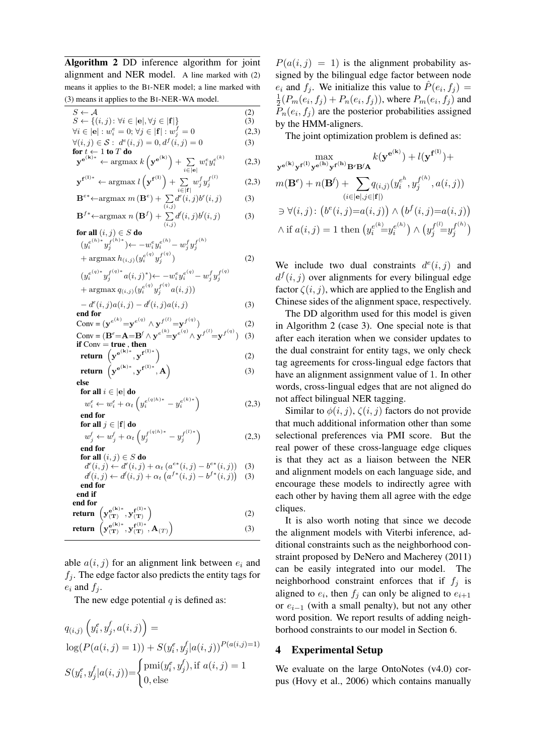Algorithm 2 DD inference algorithm for joint alignment and NER model. A line marked with (2) means it applies to the BI-NER model; a line marked with (3) means it applies to the BI-NER-WA model.

| $S \leftarrow A$                                                                                                                                                            | (2)          |
|-----------------------------------------------------------------------------------------------------------------------------------------------------------------------------|--------------|
| $S \leftarrow \{(i, j) \colon \forall i \in  \mathbf{e} , \forall j \in  \mathbf{f} \}$<br>$\forall i \in [\mathbf{e}]: w_i^e = 0; \forall j \in [\mathbf{f}]: w_j^f = 0$   | (3)<br>(2,3) |
| $\forall (i, j) \in S : d^e(i, j) = 0, d^f(i, j) = 0$                                                                                                                       | (3)          |
| for $t \leftarrow 1$ to $T$ do                                                                                                                                              |              |
| $\mathbf{y}^{\mathbf{e^{(k)}}*} \leftarrow \operatorname{argmax} k\left(\mathbf{y}^{\mathbf{e^{(k)}}}\right) + \sum_{i \in  \mathbf{e} } w_i^e y_i^{e^{(k)}}$               | (2,3)        |
| $\mathbf{y}^{\mathbf{f}^{(1)*}} \leftarrow \operatorname{argmax} l\left(\mathbf{y}^{\mathbf{f}^{(1)}}\right) + \sum\limits_{i \in  \mathbf{f} } {w_{j}^{f}y_{j}^{f^{(1)}}}$ | (2,3)        |
| $\mathbf{B}^{e*} \leftarrow \text{argmax } m(\mathbf{B}^e) + \sum_{(i,j)} d^e(i,j) b^e(i,j)$                                                                                | (3)          |
| $\mathbf{B}^{f*} \leftarrow \text{argmax} \; n\left(\mathbf{B}^{f}\right) + \sum_{(i,j)} d^{f}(i,j) b^{f}(i,j)$                                                             | (3)          |
| for all $(i, j) \in S$ do                                                                                                                                                   |              |
|                                                                                                                                                                             |              |
| $(y_i^{e^{(h)*}}y_j^{f^{(h)*}}) \leftarrow -w_i^e y_i^{e^{(h)}} - w_j^f y_j^{f^{(h)}} \ + \arg\!\max h_{(i,j)}(y_i^{e^{(q)}}y_j^{f^{(q)}})$                                 | (2)          |
| $(y_i^{e^{(q)}\ast}y_j^{f^{(q)}\ast}a(i,j)^{\ast}) \leftarrow -w_i^{e}y_i^{e^{(q)}} - w_j^{f}y_j^{f^{(q)}}$                                                                 |              |
| $+ \operatorname{argmax} q_{(i,j)}(y_i^{e^{(q)}}y_j^{f^{(q)}}a(i,j))$                                                                                                       |              |
| $-d^{e}(i, j)a(i, j) - d^{f}(i, j)a(i, j)$<br>end for                                                                                                                       | (3)          |
| Conv = $(\mathbf{y}^{e^{(k)}} = \mathbf{y}^{e^{(q)}} \wedge \mathbf{y}^{f^{(l)}} = \mathbf{y}^{f^{(q)}})$                                                                   | (2)          |
| Conv = $(\mathbf{B}^e = \mathbf{A} = \mathbf{B}^f \wedge \mathbf{y}^{e^{(k)}} = \mathbf{y}^{e^{(q)}} \wedge \mathbf{y}^{f^{(l)}} = \mathbf{y}^{f^{(q)}})$                   | (3)          |
| if $Conv = true$ , then                                                                                                                                                     |              |
|                                                                                                                                                                             | (2)          |
| <b>return</b> $(\mathbf{y}^{e^{(\mathbf{k})^*}}, \mathbf{y}^{f^{(1)*}})$<br><b>return</b> $(\mathbf{y}^{e^{(\mathbf{k})^*}}, \mathbf{y}^{f^{(1)*}}, \mathbf{A})$            | (3)          |
| else                                                                                                                                                                        |              |
| for all $i \in  e $ do                                                                                                                                                      |              |
| $w_i^e \leftarrow w_i^e + \alpha_t \left( y_i^{e^{(q h)*}} - y_i^{e^{(k)*}} \right)$                                                                                        | (2,3)        |
| end for<br>for all $j \in  f $ do                                                                                                                                           |              |
| $w_j^f \leftarrow w_j^f + \alpha_t \left( y_j^{f(q h)*} - y_j^{f^{(l)*}} \right)$                                                                                           | (2,3)        |
| end for                                                                                                                                                                     |              |
| for all $(i, j) \in S$ do                                                                                                                                                   |              |
| $d^{e}(i, j) \leftarrow d^{e}(i, j) + \alpha_{t} (a^{e*}(i, j) - b^{e*}(i, j))$<br>$d^{f}(i, j) \leftarrow d^{f}(i, j) + \alpha_t (a^{f*}(i, j) - b^{f*}(i, j))$            | (3)          |
| end for                                                                                                                                                                     | (3)          |
| end if                                                                                                                                                                      |              |
| end for                                                                                                                                                                     |              |
| $\begin{pmatrix} \mathbf{y_{(T)}^{e(k)*}}, \mathbf{y_{(T)}^{f^{(1)*}}} \ \mathbf{y_{(T)}^{e(k)*}}, \mathbf{y_{(T)}^{f^{(1)*}}}, \mathbf{A_{(T)}} \end{pmatrix}$<br>return   | (2)          |
| return                                                                                                                                                                      | (3)          |
|                                                                                                                                                                             |              |

able  $a(i, j)$  for an alignment link between  $e_i$  and  $f_i$ . The edge factor also predicts the entity tags for  $e_i$  and  $f_j$ .

The new edge potential  $q$  is defined as:

$$
q_{(i,j)}\left(y_i^e, y_j^f, a(i,j)\right) =
$$
  
\n
$$
\log(P(a(i,j) = 1)) + S(y_i^e, y_j^f | a(i,j))^{P(a(i,j) = 1)}
$$
  
\n
$$
S(y_i^e, y_j^f | a(i,j)) = \begin{cases} \text{pmi}(y_i^e, y_j^f), \text{if } a(i,j) = 1\\ 0, \text{else} \end{cases}
$$

 $P(a(i, j) = 1)$  is the alignment probability assigned by the bilingual edge factor between node  $e_i$  and  $f_j$ . We initialize this value to  $\hat{P}(e_i, f_j) =$ 1  $\frac{1}{2}(P_m(e_i, f_j) + P_n(e_i, f_j))$ , where  $P_m(e_i, f_j)$  and  $P_n(e_i, f_j)$  are the posterior probabilities assigned by the HMM-aligners.

The joint optimization problem is defined as:

$$
\max_{\mathbf{y}e^{(\mathbf{k})}\mathbf{y}^{f^{(1)}}\mathbf{y}^{e^{(\mathbf{h})}}\mathbf{y}^{f^{(\mathbf{h})}}\mathbf{B}^e\mathbf{B}^f\mathbf{A}} k(\mathbf{y}e^{(\mathbf{k})}) + l(\mathbf{y}^{f^{(1)}}) +
$$
  
\n
$$
m(\mathbf{B}^e) + n(\mathbf{B}^f) + \sum_{(i \in [\mathbf{e}], j \in [\mathbf{f}]})} q_{(i,j)}(y_i^{e^h}, y_j^{f^{(h)}}, a(i, j))
$$
  
\n
$$
\Rightarrow \forall (i, j): (b^e(i, j) = a(i, j)) \land (b^f(i, j) = a(i, j))
$$
  
\n
$$
\land \text{ if } a(i, j) = 1 \text{ then } (y_i^{e^{(\mathbf{k})}} = y_i^{e^{(\mathbf{k})}}) \land (y_j^{f^{(\mathbf{l})}} = y_j^{f^{(\mathbf{h})}})
$$

We include two dual constraints  $d^e(i, j)$  and  $d^f(i, j)$  over alignments for every bilingual edge factor  $\zeta(i, j)$ , which are applied to the English and Chinese sides of the alignment space, respectively.

The DD algorithm used for this model is given in Algorithm 2 (case 3). One special note is that after each iteration when we consider updates to the dual constraint for entity tags, we only check tag agreements for cross-lingual edge factors that have an alignment assignment value of 1. In other words, cross-lingual edges that are not aligned do not affect bilingual NER tagging.

Similar to  $\phi(i, j)$ ,  $\zeta(i, j)$  factors do not provide that much additional information other than some selectional preferences via PMI score. But the real power of these cross-language edge cliques is that they act as a liaison between the NER and alignment models on each language side, and encourage these models to indirectly agree with each other by having them all agree with the edge cliques.

It is also worth noting that since we decode the alignment models with Viterbi inference, additional constraints such as the neighborhood constraint proposed by DeNero and Macherey (2011) can be easily integrated into our model. The neighborhood constraint enforces that if  $f_i$  is aligned to  $e_i$ , then  $f_j$  can only be aligned to  $e_{i+1}$ or  $e_{i-1}$  (with a small penalty), but not any other word position. We report results of adding neighborhood constraints to our model in Section 6.

# 4 Experimental Setup

We evaluate on the large OntoNotes (v4.0) corpus (Hovy et al., 2006) which contains manually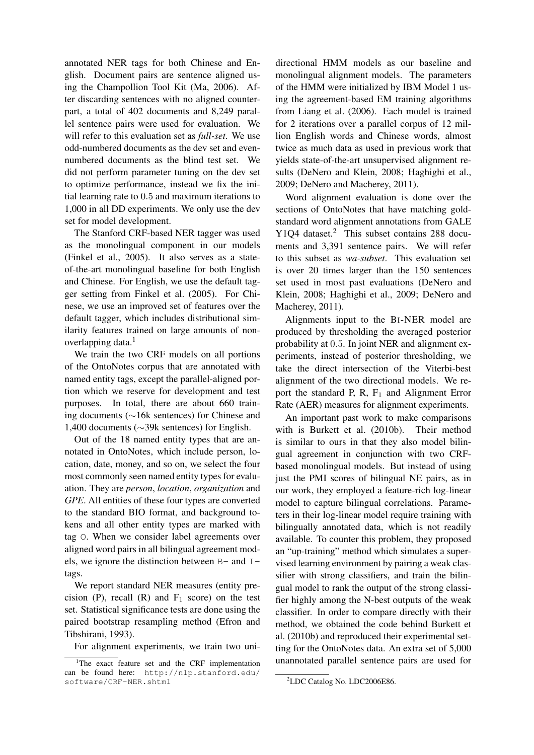annotated NER tags for both Chinese and English. Document pairs are sentence aligned using the Champollion Tool Kit (Ma, 2006). After discarding sentences with no aligned counterpart, a total of 402 documents and 8,249 parallel sentence pairs were used for evaluation. We will refer to this evaluation set as *full-set*. We use odd-numbered documents as the dev set and evennumbered documents as the blind test set. We did not perform parameter tuning on the dev set to optimize performance, instead we fix the initial learning rate to 0.5 and maximum iterations to 1,000 in all DD experiments. We only use the dev set for model development.

The Stanford CRF-based NER tagger was used as the monolingual component in our models (Finkel et al., 2005). It also serves as a stateof-the-art monolingual baseline for both English and Chinese. For English, we use the default tagger setting from Finkel et al. (2005). For Chinese, we use an improved set of features over the default tagger, which includes distributional similarity features trained on large amounts of nonoverlapping data.<sup>1</sup>

We train the two CRF models on all portions of the OntoNotes corpus that are annotated with named entity tags, except the parallel-aligned portion which we reserve for development and test purposes. In total, there are about 660 training documents (∼16k sentences) for Chinese and 1,400 documents (∼39k sentences) for English.

Out of the 18 named entity types that are annotated in OntoNotes, which include person, location, date, money, and so on, we select the four most commonly seen named entity types for evaluation. They are *person*, *location*, *organization* and *GPE*. All entities of these four types are converted to the standard BIO format, and background tokens and all other entity types are marked with tag O. When we consider label agreements over aligned word pairs in all bilingual agreement models, we ignore the distinction between  $B-$  and  $I$ tags.

We report standard NER measures (entity precision (P), recall (R) and  $F_1$  score) on the test set. Statistical significance tests are done using the paired bootstrap resampling method (Efron and Tibshirani, 1993).

For alignment experiments, we train two uni-

directional HMM models as our baseline and monolingual alignment models. The parameters of the HMM were initialized by IBM Model 1 using the agreement-based EM training algorithms from Liang et al. (2006). Each model is trained for 2 iterations over a parallel corpus of 12 million English words and Chinese words, almost twice as much data as used in previous work that yields state-of-the-art unsupervised alignment results (DeNero and Klein, 2008; Haghighi et al., 2009; DeNero and Macherey, 2011).

Word alignment evaluation is done over the sections of OntoNotes that have matching goldstandard word alignment annotations from GALE Y1Q4 dataset.<sup>2</sup> This subset contains 288 documents and 3,391 sentence pairs. We will refer to this subset as *wa-subset*. This evaluation set is over 20 times larger than the 150 sentences set used in most past evaluations (DeNero and Klein, 2008; Haghighi et al., 2009; DeNero and Macherey, 2011).

Alignments input to the BI-NER model are produced by thresholding the averaged posterior probability at 0.5. In joint NER and alignment experiments, instead of posterior thresholding, we take the direct intersection of the Viterbi-best alignment of the two directional models. We report the standard P, R,  $F_1$  and Alignment Error Rate (AER) measures for alignment experiments.

An important past work to make comparisons with is Burkett et al. (2010b). Their method is similar to ours in that they also model bilingual agreement in conjunction with two CRFbased monolingual models. But instead of using just the PMI scores of bilingual NE pairs, as in our work, they employed a feature-rich log-linear model to capture bilingual correlations. Parameters in their log-linear model require training with bilingually annotated data, which is not readily available. To counter this problem, they proposed an "up-training" method which simulates a supervised learning environment by pairing a weak classifier with strong classifiers, and train the bilingual model to rank the output of the strong classifier highly among the N-best outputs of the weak classifier. In order to compare directly with their method, we obtained the code behind Burkett et al. (2010b) and reproduced their experimental setting for the OntoNotes data. An extra set of 5,000 unannotated parallel sentence pairs are used for

<sup>&</sup>lt;sup>1</sup>The exact feature set and the CRF implementation can be found here: http://nlp.stanford.edu/ software/CRF-NER.shtml

<sup>2</sup>LDC Catalog No. LDC2006E86.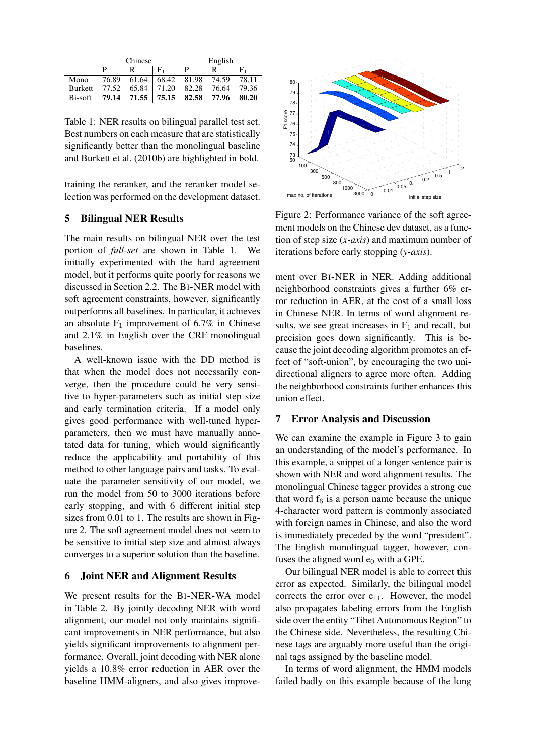|                | Chinese |       |                                       | English |       |       |  |
|----------------|---------|-------|---------------------------------------|---------|-------|-------|--|
|                | D       |       | F,                                    |         |       | F,    |  |
| Mono           | 76.89   | 61.64 | 68.42                                 | 81.98   | 74.59 | 78.11 |  |
| <b>Burkett</b> | 77.52   | 65.84 | 71.20                                 | 82.28   | 76.64 | 79.36 |  |
| Bi-soft        | 79.14   |       | $71.55$   $75.15$   $82.58$   $77.96$ |         |       | 80.20 |  |

Table 1: NER results on bilingual parallel test set. Best numbers on each measure that are statistically significantly better than the monolingual baseline and Burkett et al. (2010b) are highlighted in bold.

training the reranker, and the reranker model selection was performed on the development dataset.

## 5 Bilingual NER Results

The main results on bilingual NER over the test portion of *full-set* are shown in Table 1. We initially experimented with the hard agreement model, but it performs quite poorly for reasons we discussed in Section 2.2. The BI-NER model with soft agreement constraints, however, significantly outperforms all baselines. In particular, it achieves an absolute  $F_1$  improvement of 6.7% in Chinese and 2.1% in English over the CRF monolingual baselines.

A well-known issue with the DD method is that when the model does not necessarily converge, then the procedure could be very sensitive to hyper-parameters such as initial step size and early termination criteria. If a model only gives good performance with well-tuned hyperparameters, then we must have manually annotated data for tuning, which would significantly reduce the applicability and portability of this method to other language pairs and tasks. To evaluate the parameter sensitivity of our model, we run the model from 50 to 3000 iterations before early stopping, and with 6 different initial step sizes from 0.01 to 1. The results are shown in Figure 2. The soft agreement model does not seem to be sensitive to initial step size and almost always converges to a superior solution than the baseline.

## 6 Joint NER and Alignment Results

We present results for the BI-NER-WA model in Table 2. By jointly decoding NER with word alignment, our model not only maintains significant improvements in NER performance, but also yields significant improvements to alignment performance. Overall, joint decoding with NER alone yields a 10.8% error reduction in AER over the baseline HMM-aligners, and also gives improve-



Figure 2: Performance variance of the soft agreement models on the Chinese dev dataset, as a function of step size (*x-axis*) and maximum number of iterations before early stopping (*y-axis*).

ment over BI-NER in NER. Adding additional neighborhood constraints gives a further 6% error reduction in AER, at the cost of a small loss in Chinese NER. In terms of word alignment results, we see great increases in  $F_1$  and recall, but precision goes down significantly. This is because the joint decoding algorithm promotes an effect of "soft-union", by encouraging the two unidirectional aligners to agree more often. Adding the neighborhood constraints further enhances this union effect.

#### 7 Error Analysis and Discussion

We can examine the example in Figure 3 to gain an understanding of the model's performance. In this example, a snippet of a longer sentence pair is shown with NER and word alignment results. The monolingual Chinese tagger provides a strong cue that word  $f_6$  is a person name because the unique 4-character word pattern is commonly associated with foreign names in Chinese, and also the word is immediately preceded by the word "president". The English monolingual tagger, however, confuses the aligned word  $e_0$  with a GPE.

Our bilingual NER model is able to correct this error as expected. Similarly, the bilingual model corrects the error over  $e_{11}$ . However, the model also propagates labeling errors from the English side over the entity "Tibet Autonomous Region" to the Chinese side. Nevertheless, the resulting Chinese tags are arguably more useful than the original tags assigned by the baseline model.

In terms of word alignment, the HMM models failed badly on this example because of the long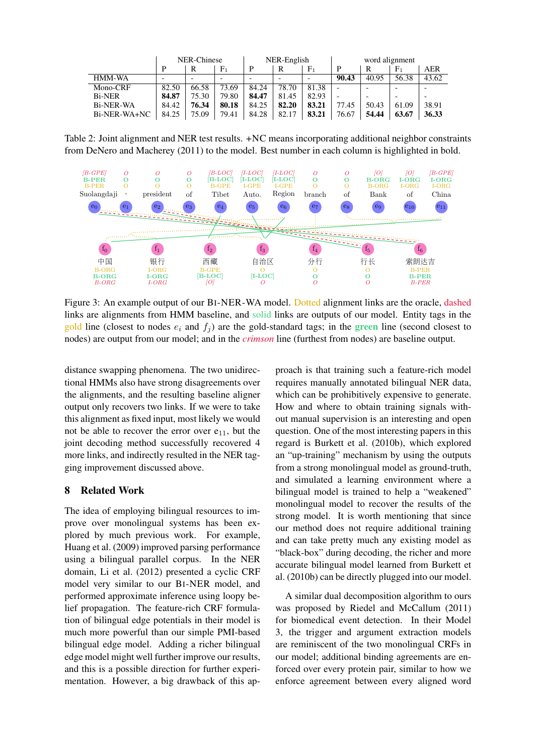|                           | NER-Chinese |       | NER-English    |       |       | word alignment |                          |       |       |       |
|---------------------------|-------------|-------|----------------|-------|-------|----------------|--------------------------|-------|-------|-------|
|                           | D           | R     | F <sub>1</sub> | D     | R     | $\rm{F}_1$     | D                        | R     | $F_1$ | AER   |
| HMM-WA                    |             |       |                |       |       |                | 90.43                    | 40.95 | 56.38 | 43.62 |
| Mono-CRF                  | 82.50       | 66.58 | 73.69          | 84.24 | 78.70 | 81.38          | $\overline{\phantom{0}}$ | -     |       |       |
| <b>Bi-NER</b>             | 84.87       | 75.30 | 79.80          | 84.47 | 81.45 | 82.93          |                          |       |       |       |
| <b>Bi-NER-WA</b>          | 84.42       | 76.34 | 80.18          | 84.25 | 82.20 | 83.21          | 77.45                    | 50.43 | 61.09 | 38.91 |
| B <sub>i</sub> -NER-WA+NC | 84.25       | 75.09 | 79.41          | 84.28 | 82.17 | 83.21          | 76.67                    | 54.44 | 63.67 | 36.33 |

Table 2: Joint alignment and NER test results. +NC means incorporating additional neighbor constraints from DeNero and Macherey (2011) to the model. Best number in each column is highlighted in bold.



Figure 3: An example output of our BI-NER-WA model. Dotted alignment links are the oracle, dashed links are alignments from HMM baseline, and solid links are outputs of our model. Entity tags in the gold line (closest to nodes  $e_i$  and  $f_j$ ) are the gold-standard tags; in the green line (second closest to nodes) are output from our model; and in the *crimson* line (furthest from nodes) are baseline output.

distance swapping phenomena. The two unidirectional HMMs also have strong disagreements over the alignments, and the resulting baseline aligner output only recovers two links. If we were to take this alignment as fixed input, most likely we would not be able to recover the error over  $e_{11}$ , but the joint decoding method successfully recovered 4 more links, and indirectly resulted in the NER tagging improvement discussed above.

# 8 Related Work

The idea of employing bilingual resources to improve over monolingual systems has been explored by much previous work. For example, Huang et al. (2009) improved parsing performance using a bilingual parallel corpus. In the NER domain, Li et al. (2012) presented a cyclic CRF model very similar to our BI-NER model, and performed approximate inference using loopy belief propagation. The feature-rich CRF formulation of bilingual edge potentials in their model is much more powerful than our simple PMI-based bilingual edge model. Adding a richer bilingual edge model might well further improve our results, and this is a possible direction for further experimentation. However, a big drawback of this approach is that training such a feature-rich model requires manually annotated bilingual NER data, which can be prohibitively expensive to generate. How and where to obtain training signals without manual supervision is an interesting and open question. One of the most interesting papers in this regard is Burkett et al. (2010b), which explored an "up-training" mechanism by using the outputs from a strong monolingual model as ground-truth, and simulated a learning environment where a bilingual model is trained to help a "weakened" monolingual model to recover the results of the strong model. It is worth mentioning that since our method does not require additional training and can take pretty much any existing model as "black-box" during decoding, the richer and more accurate bilingual model learned from Burkett et al. (2010b) can be directly plugged into our model.

A similar dual decomposition algorithm to ours was proposed by Riedel and McCallum (2011) for biomedical event detection. In their Model 3, the trigger and argument extraction models are reminiscent of the two monolingual CRFs in our model; additional binding agreements are enforced over every protein pair, similar to how we enforce agreement between every aligned word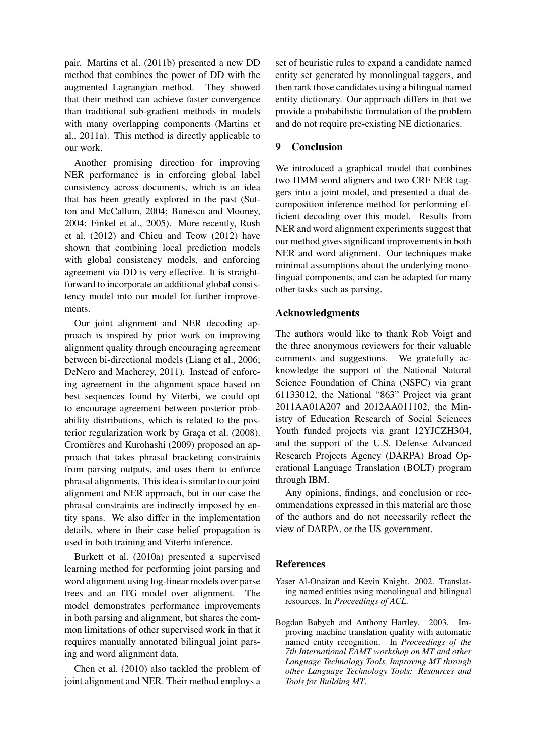pair. Martins et al. (2011b) presented a new DD method that combines the power of DD with the augmented Lagrangian method. They showed that their method can achieve faster convergence than traditional sub-gradient methods in models with many overlapping components (Martins et al., 2011a). This method is directly applicable to our work.

Another promising direction for improving NER performance is in enforcing global label consistency across documents, which is an idea that has been greatly explored in the past (Sutton and McCallum, 2004; Bunescu and Mooney, 2004; Finkel et al., 2005). More recently, Rush et al. (2012) and Chieu and Teow (2012) have shown that combining local prediction models with global consistency models, and enforcing agreement via DD is very effective. It is straightforward to incorporate an additional global consistency model into our model for further improvements.

Our joint alignment and NER decoding approach is inspired by prior work on improving alignment quality through encouraging agreement between bi-directional models (Liang et al., 2006; DeNero and Macherey, 2011). Instead of enforcing agreement in the alignment space based on best sequences found by Viterbi, we could opt to encourage agreement between posterior probability distributions, which is related to the posterior regularization work by Graça et al. (2008). Cromières and Kurohashi (2009) proposed an approach that takes phrasal bracketing constraints from parsing outputs, and uses them to enforce phrasal alignments. This idea is similar to our joint alignment and NER approach, but in our case the phrasal constraints are indirectly imposed by entity spans. We also differ in the implementation details, where in their case belief propagation is used in both training and Viterbi inference.

Burkett et al. (2010a) presented a supervised learning method for performing joint parsing and word alignment using log-linear models over parse trees and an ITG model over alignment. The model demonstrates performance improvements in both parsing and alignment, but shares the common limitations of other supervised work in that it requires manually annotated bilingual joint parsing and word alignment data.

Chen et al. (2010) also tackled the problem of joint alignment and NER. Their method employs a

set of heuristic rules to expand a candidate named entity set generated by monolingual taggers, and then rank those candidates using a bilingual named entity dictionary. Our approach differs in that we provide a probabilistic formulation of the problem and do not require pre-existing NE dictionaries.

# 9 Conclusion

We introduced a graphical model that combines two HMM word aligners and two CRF NER taggers into a joint model, and presented a dual decomposition inference method for performing efficient decoding over this model. Results from NER and word alignment experiments suggest that our method gives significant improvements in both NER and word alignment. Our techniques make minimal assumptions about the underlying monolingual components, and can be adapted for many other tasks such as parsing.

# Acknowledgments

The authors would like to thank Rob Voigt and the three anonymous reviewers for their valuable comments and suggestions. We gratefully acknowledge the support of the National Natural Science Foundation of China (NSFC) via grant 61133012, the National "863" Project via grant 2011AA01A207 and 2012AA011102, the Ministry of Education Research of Social Sciences Youth funded projects via grant 12YJCZH304, and the support of the U.S. Defense Advanced Research Projects Agency (DARPA) Broad Operational Language Translation (BOLT) program through IBM.

Any opinions, findings, and conclusion or recommendations expressed in this material are those of the authors and do not necessarily reflect the view of DARPA, or the US government.

# References

- Yaser Al-Onaizan and Kevin Knight. 2002. Translating named entities using monolingual and bilingual resources. In *Proceedings of ACL*.
- Bogdan Babych and Anthony Hartley. 2003. Improving machine translation quality with automatic named entity recognition. In *Proceedings of the 7th International EAMT workshop on MT and other Language Technology Tools, Improving MT through other Language Technology Tools: Resources and Tools for Building MT*.